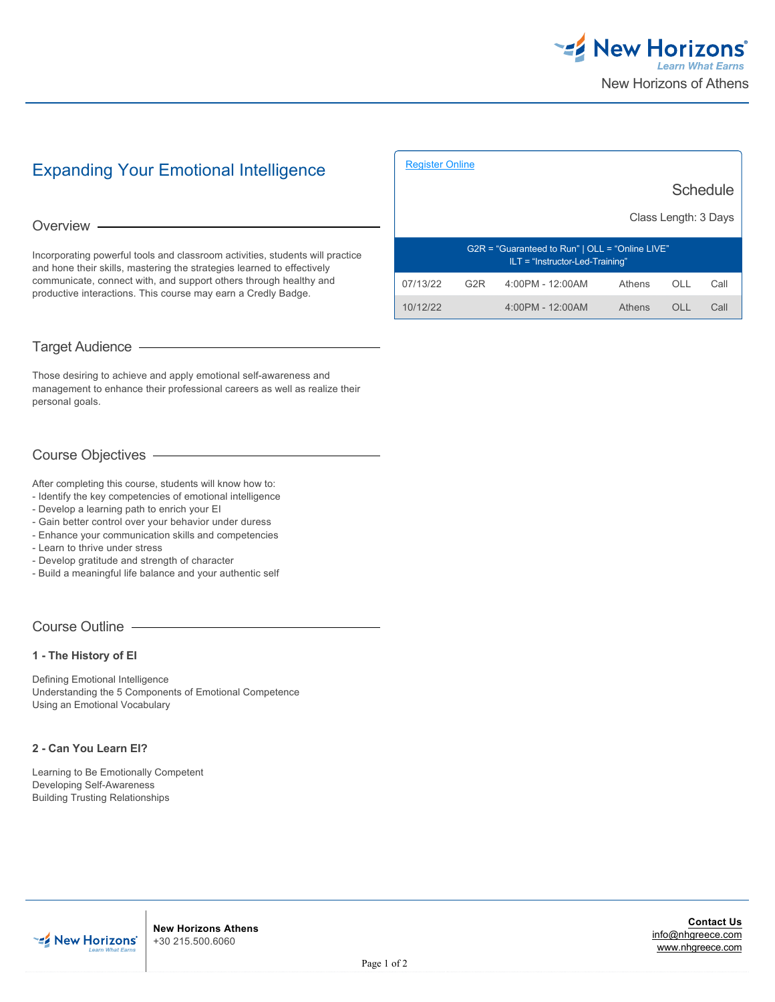

# Expanding Your Emotional Intelligence

#### Overview -

Incorporating powerful tools and classroom activities, students will practice and hone their skills, mastering the strategies learned to effectively communicate, connect with, and support others through healthy and productive interactions. This course may earn a Credly Badge.

### Target Audience

Those desiring to achieve and apply emotional self-awareness and management to enhance their professional careers as well as realize their personal goals.

## Course Objectives

After completing this course, students will know how to:

- Identify the key competencies of emotional intelligence
- Develop a learning path to enrich your EI
- Gain better control over your behavior under duress
- Enhance your communication skills and competencies
- Learn to thrive under stress
- Develop gratitude and strength of character
- Build a meaningful life balance and your authentic self

#### Course Outline

**1 - The History of EI**

Defining Emotional Intelligence Understanding the 5 Components of Emotional Competence Using an Emotional Vocabulary

#### **2 - Can You Learn EI?**

**EZ** New Horizons'

Learning to Be Emotionally Competent Developing Self-Awareness Building Trusting Relationships

| <b>Register Online</b>                                                               |                  |                  |        |      |      |
|--------------------------------------------------------------------------------------|------------------|------------------|--------|------|------|
| Schedule                                                                             |                  |                  |        |      |      |
| Class Length: 3 Days                                                                 |                  |                  |        |      |      |
| G2R = "Guaranteed to Run"   OLL = "Online LIVE"<br>$ILT = "Instructor-Led-Training"$ |                  |                  |        |      |      |
| 07/13/22                                                                             | G <sub>2</sub> R | 4:00PM - 12:00AM | Athens | OLL  | Call |
| 10/12/22                                                                             |                  | 4:00PM - 12:00AM | Athens | OL L | Call |